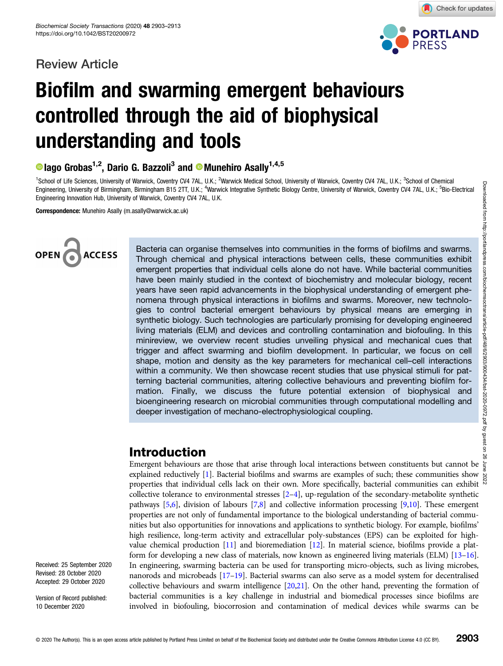### Review Article



Check for updates

# Biofilm and swarming emergent behaviours controlled through the aid of biophysical understanding and tools

 $\bullet$  lago Grobas<sup>1,2</sup>, Dario G. Bazzoli<sup>3</sup> and  $\bullet$  Munehiro Asally<sup>1,4,5</sup>

<sup>1</sup>School of Life Sciences, University of Warwick, Coventry CV4 7AL, U.K.; <sup>2</sup>Warwick Medical School, University of Warwick, Coventry CV4 7AL, U.K.; <sup>3</sup>School of Chemical Engineering, University of Birmingham, Birmingham B15 2TT, U.K.; <sup>4</sup>Warwick Integrative Synthetic Biology Centre, University of Warwick, Coventry CV4 7AL, U.K.; <sup>5</sup>Bio-Electrical Engineering Innovation Hub, University of Warwick, Coventry CV4 7AL, U.K.

Correspondence: Munehiro Asally (m.asally@warwick.ac.uk)



Bacteria can organise themselves into communities in the forms of biofilms and swarms. Through chemical and physical interactions between cells, these communities exhibit emergent properties that individual cells alone do not have. While bacterial communities have been mainly studied in the context of biochemistry and molecular biology, recent years have seen rapid advancements in the biophysical understanding of emergent phenomena through physical interactions in biofilms and swarms. Moreover, new technologies to control bacterial emergent behaviours by physical means are emerging in synthetic biology. Such technologies are particularly promising for developing engineered living materials (ELM) and devices and controlling contamination and biofouling. In this minireview, we overview recent studies unveiling physical and mechanical cues that trigger and affect swarming and biofilm development. In particular, we focus on cell shape, motion and density as the key parameters for mechanical cell–cell interactions within a community. We then showcase recent studies that use physical stimuli for patterning bacterial communities, altering collective behaviours and preventing biofilm formation. Finally, we discuss the future potential extension of biophysical and bioengineering research on microbial communities through computational modelling and deeper investigation of mechano-electrophysiological coupling.

### Introduction

Emergent behaviours are those that arise through local interactions between constituents but cannot be Emergent behaviours are unose that also through your measurements of such; these communities show  $\frac{8}{8}$  explained reductively [\[1\]](#page-7-0). Bacterial biofilms and swarms are examples of such; these communities can exhibit properties that individual cells lack on their own. More specifically, bacterial communities can exhibit collective tolerance to environmental stresses [\[2](#page-7-0)–[4\]](#page-7-0), up-regulation of the secondary-metabolite synthetic pathways [\[5,6\]](#page-7-0), division of labours [\[7,8\]](#page-7-0) and collective information processing [\[9,10\]](#page-7-0). These emergent properties are not only of fundamental importance to the biological understanding of bacterial communities but also opportunities for innovations and applications to synthetic biology. For example, biofilms' high resilience, long-term activity and extracellular poly-substances (EPS) can be exploited for highvalue chemical production [\[11\]](#page-7-0) and bioremediation [[12](#page-7-0)]. In material science, biofilms provide a platform for developing a new class of materials, now known as engineered living materials (ELM) [[13](#page-7-0)–[16](#page-7-0)]. In engineering, swarming bacteria can be used for transporting micro-objects, such as living microbes, nanorods and microbeads [\[17](#page-7-0)–[19\]](#page-7-0). Bacterial swarms can also serve as a model system for decentralised collective behaviours and swarm intelligence [[20,21\]](#page-7-0). On the other hand, preventing the formation of bacterial communities is a key challenge in industrial and biomedical processes since biofilms are involved in biofouling, biocorrosion and contamination of medical devices while swarms can be

Received: 25 September 2020 Revised: 28 October 2020 Accepted: 29 October 2020

Version of Record published: 10 December 2020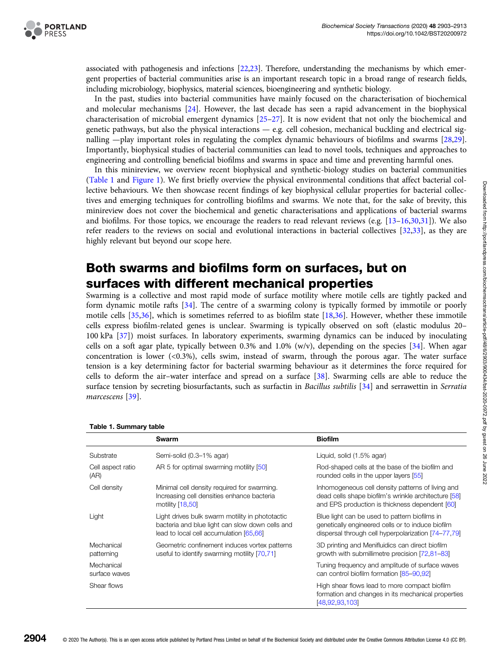associated with pathogenesis and infections [\[22,23](#page-7-0)]. Therefore, understanding the mechanisms by which emergent properties of bacterial communities arise is an important research topic in a broad range of research fields, including microbiology, biophysics, material sciences, bioengineering and synthetic biology.

In the past, studies into bacterial communities have mainly focused on the characterisation of biochemical and molecular mechanisms [\[24\]](#page-7-0). However, the last decade has seen a rapid advancement in the biophysical characterisation of microbial emergent dynamics [\[25](#page-7-0)–[27](#page-7-0)]. It is now evident that not only the biochemical and genetic pathways, but also the physical interactions  $-$  e.g. cell cohesion, mechanical buckling and electrical signalling —play important roles in regulating the complex dynamic behaviours of biofilms and swarms [[28](#page-7-0),[29](#page-7-0)]. Importantly, biophysical studies of bacterial communities can lead to novel tools, techniques and approaches to engineering and controlling beneficial biofilms and swarms in space and time and preventing harmful ones.

In this minireview, we overview recent biophysical and synthetic-biology studies on bacterial communities (Table 1 and [Figure 1\)](#page-2-0). We first briefly overview the physical environmental conditions that affect bacterial collective behaviours. We then showcase recent findings of key biophysical cellular properties for bacterial collectives and emerging techniques for controlling biofilms and swarms. We note that, for the sake of brevity, this minireview does not cover the biochemical and genetic characterisations and applications of bacterial swarms and biofilms. For those topics, we encourage the readers to read relevant reviews (e.g. [[13](#page-7-0)–[16,30,](#page-7-0)[31\]](#page-8-0)). We also refer readers to the reviews on social and evolutional interactions in bacterial collectives [[32](#page-8-0),[33](#page-8-0)], as they are highly relevant but beyond our scope here.

## Both swarms and biofilms form on surfaces, but on surfaces with different mechanical properties

Swarming is a collective and most rapid mode of surface motility where motile cells are tightly packed and form dynamic motile rafts [\[34\]](#page-8-0). The centre of a swarming colony is typically formed by immotile or poorly motile cells [\[35,36\]](#page-8-0), which is sometimes referred to as biofilm state [[18](#page-7-0),[36](#page-8-0)]. However, whether these immotile cells express biofilm-related genes is unclear. Swarming is typically observed on soft (elastic modulus 20– 100 kPa [\[37](#page-8-0)]) moist surfaces. In laboratory experiments, swarming dynamics can be induced by inoculating cells on a soft agar plate, typically between 0.3% and 1.0% (w/v), depending on the species [\[34\]](#page-8-0). When agar concentration is lower (<0.3%), cells swim, instead of swarm, through the porous agar. The water surface tension is a key determining factor for bacterial swarming behaviour as it determines the force required for cells to deform the air–water interface and spread on a surface [\[38\]](#page-8-0). Swarming cells are able to reduce the surface tension by secreting biosurfactants, such as surfactin in Bacillus subtilis [[34](#page-8-0)] and serrawettin in Serratia marcescens [\[39\]](#page-8-0).

|                             | Swarm                                                                                                                                         | <b>Biofilm</b>                                                                                                                                              |
|-----------------------------|-----------------------------------------------------------------------------------------------------------------------------------------------|-------------------------------------------------------------------------------------------------------------------------------------------------------------|
| Substrate                   | Semi-solid (0.3-1% agar)                                                                                                                      | Liquid, solid (1.5% agar)                                                                                                                                   |
| Cell aspect ratio<br>(AR)   | AR 5 for optimal swarming motility [50]                                                                                                       | Rod-shaped cells at the base of the biofilm and<br>rounded cells in the upper layers [55]                                                                   |
| Cell density                | Minimal cell density required for swarming.<br>Increasing cell densities enhance bacteria<br>motility [18,50]                                 | Inhomogeneous cell density patterns of living and<br>dead cells shape biofilm's wrinkle architecture [58]<br>and EPS production is thickness dependent [60] |
| Light                       | Light drives bulk swarm motility in phototactic<br>bacteria and blue light can slow down cells and<br>lead to local cell accumulation [65,66] | Blue light can be used to pattern biofilms in<br>genetically engineered cells or to induce biofilm<br>dispersal through cell hyperpolarization [74-77,79]   |
| Mechanical<br>patterning    | Geometric confinement induces vortex patterns<br>useful to identify swarming motility [70,71]                                                 | 3D printing and Menifluidics can direct biofilm<br>growth with submillimetre precision [72,81-83]                                                           |
| Mechanical<br>surface waves |                                                                                                                                               | Tuning frequency and amplitude of surface waves<br>can control biofilm formation [85-90,92]                                                                 |
| Shear flows                 |                                                                                                                                               | High shear flows lead to more compact biofilm<br>formation and changes in its mechanical properties<br>[48,92,93,103]                                       |

Table 1. Summary table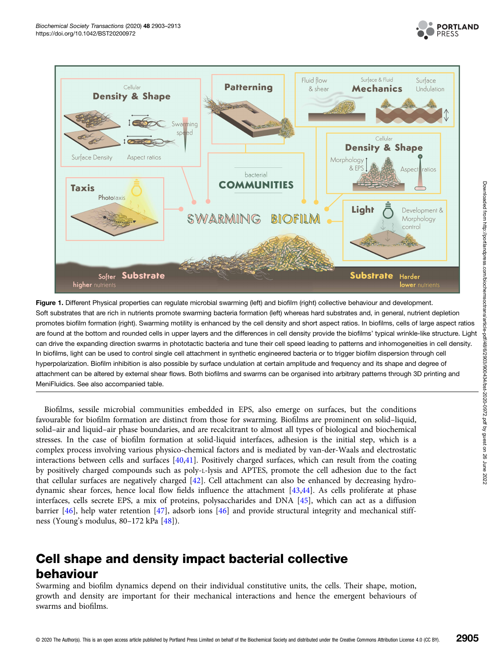

<span id="page-2-0"></span>

Figure 1. Different Physical properties can regulate microbial swarming (left) and biofilm (right) collective behaviour and development. Soft substrates that are rich in nutrients promote swarming bacteria formation (left) whereas hard substrates and, in general, nutrient depletion promotes biofilm formation (right). Swarming motility is enhanced by the cell density and short aspect ratios. In biofilms, cells of large aspect ratios are found at the bottom and rounded cells in upper layers and the differences in cell density provide the biofilms' typical wrinkle-like structure. Light can drive the expanding direction swarms in phototactic bacteria and tune their cell speed leading to patterns and inhomogeneities in cell density. In biofilms, light can be used to control single cell attachment in synthetic engineered bacteria or to trigger biofilm dispersion through cell hyperpolarization. Biofilm inhibition is also possible by surface undulation at certain amplitude and frequency and its shape and degree of attachment can be altered by external shear flows. Both biofilms and swarms can be organised into arbitrary patterns through 3D printing and MeniFluidics. See also accompanied table.

Biofilms, sessile microbial communities embedded in EPS, also emerge on surfaces, but the conditions favourable for biofilm formation are distinct from those for swarming. Biofilms are prominent on solid–liquid, solid–air and liquid–air phase boundaries, and are recalcitrant to almost all types of biological and biochemical stresses. In the case of biofilm formation at solid-liquid interfaces, adhesion is the initial step, which is a complex process involving various physico-chemical factors and is mediated by van-der-Waals and electrostatic interactions between cells and surfaces [[40](#page-8-0),[41](#page-8-0)]. Positively charged surfaces, which can result from the coating by positively charged compounds such as poly-L-lysis and APTES, promote the cell adhesion due to the fact that cellular surfaces are negatively charged [\[42\]](#page-8-0). Cell attachment can also be enhanced by decreasing hydrodynamic shear forces, hence local flow fields influence the attachment [[43,44](#page-8-0)]. As cells proliferate at phase interfaces, cells secrete EPS, a mix of proteins, polysaccharides and DNA [\[45\]](#page-8-0), which can act as a diffusion barrier [[46](#page-8-0)], help water retention [\[47](#page-8-0)], adsorb ions [[46](#page-8-0)] and provide structural integrity and mechanical stiffness (Young's modulus, 80–172 kPa [[48](#page-8-0)]).

# Cell shape and density impact bacterial collective behaviour

Swarming and biofilm dynamics depend on their individual constitutive units, the cells. Their shape, motion, growth and density are important for their mechanical interactions and hence the emergent behaviours of swarms and biofilms.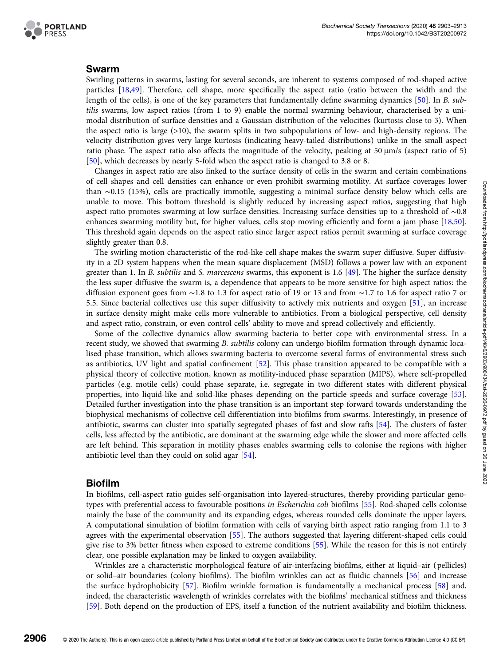

#### Swarm

Swirling patterns in swarms, lasting for several seconds, are inherent to systems composed of rod-shaped active particles [[18](#page-7-0)[,49\]](#page-8-0). Therefore, cell shape, more specifically the aspect ratio (ratio between the width and the length of the cells), is one of the key parameters that fundamentally define swarming dynamics [\[50](#page-8-0)]. In B. subtilis swarms, low aspect ratios (from 1 to 9) enable the normal swarming behaviour, characterised by a unimodal distribution of surface densities and a Gaussian distribution of the velocities (kurtosis close to 3). When the aspect ratio is large (>10), the swarm splits in two subpopulations of low- and high-density regions. The velocity distribution gives very large kurtosis (indicating heavy-tailed distributions) unlike in the small aspect ratio phase. The aspect ratio also affects the magnitude of the velocity, peaking at 50 μm/s (aspect ratio of 5) [[50](#page-8-0)], which decreases by nearly 5-fold when the aspect ratio is changed to 3.8 or 8.

Changes in aspect ratio are also linked to the surface density of cells in the swarm and certain combinations of cell shapes and cell densities can enhance or even prohibit swarming motility. At surface coverages lower than ∼0.15 (15%), cells are practically immotile, suggesting a minimal surface density below which cells are unable to move. This bottom threshold is slightly reduced by increasing aspect ratios, suggesting that high aspect ratio promotes swarming at low surface densities. Increasing surface densities up to a threshold of ∼0.8 enhances swarming motility but, for higher values, cells stop moving efficiently and form a jam phase [[18](#page-7-0),[50](#page-8-0)]. This threshold again depends on the aspect ratio since larger aspect ratios permit swarming at surface coverage slightly greater than 0.8.

The swirling motion characteristic of the rod-like cell shape makes the swarm super diffusive. Super diffusivity in a 2D system happens when the mean square displacement (MSD) follows a power law with an exponent greater than 1. In B. subtilis and S. marcescens swarms, this exponent is 1.6 [[49\]](#page-8-0). The higher the surface density the less super diffusive the swarm is, a dependence that appears to be more sensitive for high aspect ratios: the diffusion exponent goes from ∼1.8 to 1.3 for aspect ratio of 19 or 13 and from ∼1.7 to 1.6 for aspect ratio 7 or 5.5. Since bacterial collectives use this super diffusivity to actively mix nutrients and oxygen [\[51\]](#page-8-0), an increase in surface density might make cells more vulnerable to antibiotics. From a biological perspective, cell density and aspect ratio, constrain, or even control cells' ability to move and spread collectively and efficiently.

Some of the collective dynamics allow swarming bacteria to better cope with environmental stress. In a recent study, we showed that swarming B. subtilis colony can undergo biofilm formation through dynamic localised phase transition, which allows swarming bacteria to overcome several forms of environmental stress such as antibiotics, UV light and spatial confinement [\[52](#page-8-0)]. This phase transition appeared to be compatible with a physical theory of collective motion, known as motility-induced phase separation (MIPS), where self-propelled particles (e.g. motile cells) could phase separate, i.e. segregate in two different states with different physical properties, into liquid-like and solid-like phases depending on the particle speeds and surface coverage [[53](#page-8-0)]. Detailed further investigation into the phase transition is an important step forward towards understanding the biophysical mechanisms of collective cell differentiation into biofilms from swarms. Interestingly, in presence of antibiotic, swarms can cluster into spatially segregated phases of fast and slow rafts [[54](#page-8-0)]. The clusters of faster cells, less affected by the antibiotic, are dominant at the swarming edge while the slower and more affected cells are left behind. This separation in motility phases enables swarming cells to colonise the regions with higher antibiotic level than they could on solid agar [[54](#page-8-0)].

#### Biofilm

In biofilms, cell-aspect ratio guides self-organisation into layered-structures, thereby providing particular genotypes with preferential access to favourable positions in Escherichia coli biofilms [[55\]](#page-8-0). Rod-shaped cells colonise mainly the base of the community and its expanding edges, whereas rounded cells dominate the upper layers. A computational simulation of biofilm formation with cells of varying birth aspect ratio ranging from 1.1 to 3 agrees with the experimental observation [\[55\]](#page-8-0). The authors suggested that layering different-shaped cells could give rise to 3% better fitness when exposed to extreme conditions [[55](#page-8-0)]. While the reason for this is not entirely clear, one possible explanation may be linked to oxygen availability.

Wrinkles are a characteristic morphological feature of air-interfacing biofilms, either at liquid–air ( pellicles) or solid–air boundaries (colony biofilms). The biofilm wrinkles can act as fluidic channels [[56](#page-8-0)] and increase the surface hydrophobicity [[57](#page-8-0)]. Biofilm wrinkle formation is fundamentally a mechanical process [\[58\]](#page-8-0) and, indeed, the characteristic wavelength of wrinkles correlates with the biofilms' mechanical stiffness and thickness [[59](#page-8-0)]. Both depend on the production of EPS, itself a function of the nutrient availability and biofilm thickness.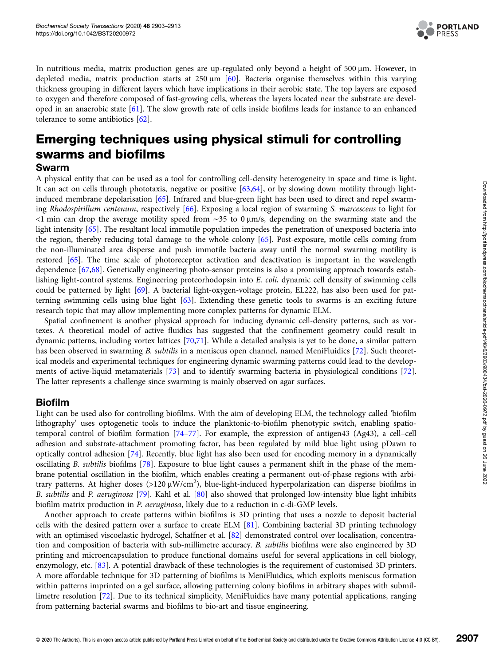

In nutritious media, matrix production genes are up-regulated only beyond a height of 500 μm. However, in depleted media, matrix production starts at  $250 \mu m$  [[60](#page-8-0)]. Bacteria organise themselves within this varying thickness grouping in different layers which have implications in their aerobic state. The top layers are exposed to oxygen and therefore composed of fast-growing cells, whereas the layers located near the substrate are developed in an anaerobic state [[61](#page-8-0)]. The slow growth rate of cells inside biofilms leads for instance to an enhanced tolerance to some antibiotics [[62](#page-8-0)].

# Emerging techniques using physical stimuli for controlling swarms and biofilms

#### Swarm

A physical entity that can be used as a tool for controlling cell-density heterogeneity in space and time is light. It can act on cells through phototaxis, negative or positive [[63](#page-8-0),[64](#page-9-0)], or by slowing down motility through lightinduced membrane depolarisation [[65\]](#page-9-0). Infrared and blue-green light has been used to direct and repel swarming Rhodospirillum centenum, respectively [[66](#page-9-0)]. Exposing a local region of swarming S. marcescens to light for <1 min can drop the average motility speed from ∼35 to 0 μm/s, depending on the swarming state and the light intensity [[65](#page-9-0)]. The resultant local immotile population impedes the penetration of unexposed bacteria into the region, thereby reducing total damage to the whole colony [[65](#page-9-0)]. Post-exposure, motile cells coming from the non-illuminated area disperse and push immotile bacteria away until the normal swarming motility is restored [[65](#page-9-0)]. The time scale of photoreceptor activation and deactivation is important in the wavelength dependence [\[67,68\]](#page-9-0). Genetically engineering photo-sensor proteins is also a promising approach towards establishing light-control systems. Engineering proteorhodopsin into E. coli, dynamic cell density of swimming cells could be patterned by light [\[69\]](#page-9-0). A bacterial light-oxygen-voltage protein, EL222, has also been used for patterning swimming cells using blue light [[63](#page-8-0)]. Extending these genetic tools to swarms is an exciting future research topic that may allow implementing more complex patterns for dynamic ELM.

Spatial confinement is another physical approach for inducing dynamic cell-density patterns, such as vortexes. A theoretical model of active fluidics has suggested that the confinement geometry could result in dynamic patterns, including vortex lattices [\[70,71\]](#page-9-0). While a detailed analysis is yet to be done, a similar pattern has been observed in swarming B. subtilis in a meniscus open channel, named MeniFluidics [[72](#page-9-0)]. Such theoretical models and experimental techniques for engineering dynamic swarming patterns could lead to the developments of active-liquid metamaterials [[73](#page-9-0)] and to identify swarming bacteria in physiological conditions [[72\]](#page-9-0). The latter represents a challenge since swarming is mainly observed on agar surfaces.

#### Biofilm

Light can be used also for controlling biofilms. With the aim of developing ELM, the technology called 'biofilm lithography' uses optogenetic tools to induce the planktonic-to-biofilm phenotypic switch, enabling spatiotemporal control of biofilm formation [\[74](#page-9-0)–[77\]](#page-9-0). For example, the expression of antigen43 (Ag43), a cell–cell adhesion and substrate-attachment promoting factor, has been regulated by mild blue light using pDawn to optically control adhesion [\[74](#page-9-0)]. Recently, blue light has also been used for encoding memory in a dynamically oscillating B. subtilis biofilms [[78](#page-9-0)]. Exposure to blue light causes a permanent shift in the phase of the membrane potential oscillation in the biofilm, which enables creating a permanent out-of-phase regions with arbitrary patterns. At higher doses (>120  $\mu$ W/cm<sup>2</sup>), blue-light-induced hyperpolarization can disperse biofilms in B. subtilis and P. aeruginosa [[79](#page-9-0)]. Kahl et al. [[80\]](#page-9-0) also showed that prolonged low-intensity blue light inhibits biofilm matrix production in P. aeruginosa, likely due to a reduction in c-di-GMP levels.

Another approach to create patterns within biofilms is 3D printing that uses a nozzle to deposit bacterial cells with the desired pattern over a surface to create ELM [[81](#page-9-0)]. Combining bacterial 3D printing technology with an optimised viscoelastic hydrogel, Schaffner et al. [[82\]](#page-9-0) demonstrated control over localisation, concentration and composition of bacteria with sub-millimetre accuracy. B. subtilis biofilms were also engineered by 3D printing and microencapsulation to produce functional domains useful for several applications in cell biology, enzymology, etc. [[83](#page-9-0)]. A potential drawback of these technologies is the requirement of customised 3D printers. A more affordable technique for 3D patterning of biofilms is MeniFluidics, which exploits meniscus formation within patterns imprinted on a gel surface, allowing patterning colony biofilms in arbitrary shapes with submillimetre resolution [[72\]](#page-9-0). Due to its technical simplicity, MeniFluidics have many potential applications, ranging from patterning bacterial swarms and biofilms to bio-art and tissue engineering.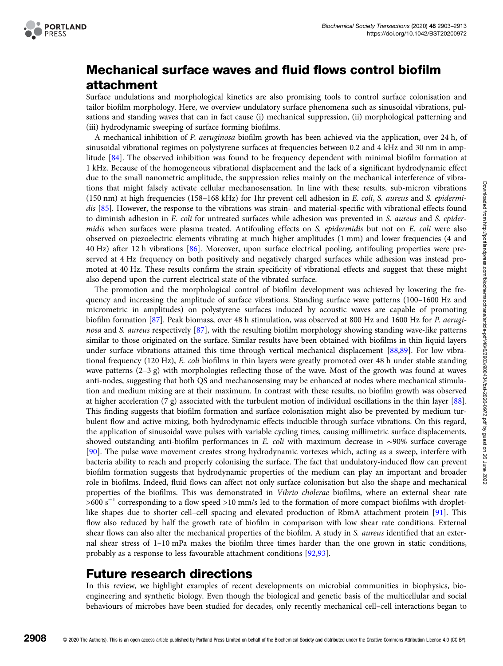

# Mechanical surface waves and fluid flows control biofilm attachment

Surface undulations and morphological kinetics are also promising tools to control surface colonisation and tailor biofilm morphology. Here, we overview undulatory surface phenomena such as sinusoidal vibrations, pulsations and standing waves that can in fact cause (i) mechanical suppression, (ii) morphological patterning and (iii) hydrodynamic sweeping of surface forming biofilms.

A mechanical inhibition of P. aeruginosa biofilm growth has been achieved via the application, over 24 h, of sinusoidal vibrational regimes on polystyrene surfaces at frequencies between 0.2 and 4 kHz and 30 nm in amplitude [[84](#page-9-0)]. The observed inhibition was found to be frequency dependent with minimal biofilm formation at 1 kHz. Because of the homogeneous vibrational displacement and the lack of a significant hydrodynamic effect due to the small nanometric amplitude, the suppression relies mainly on the mechanical interference of vibrations that might falsely activate cellular mechanosensation. In line with these results, sub-micron vibrations (150 nm) at high frequencies (158–168 kHz) for 1hr prevent cell adhesion in E. coli, S. aureus and S. epidermidis [[85](#page-9-0)]. However, the response to the vibrations was strain- and material-specific with vibrational effects found to diminish adhesion in E. coli for untreated surfaces while adhesion was prevented in S. aureus and S. epidermidis when surfaces were plasma treated. Antifouling effects on S. epidermidis but not on E. coli were also observed on piezoelectric elements vibrating at much higher amplitudes (1 mm) and lower frequencies (4 and 40 Hz) after 12 h vibrations [\[86\]](#page-9-0). Moreover, upon surface electrical pooling, antifouling properties were preserved at 4 Hz frequency on both positively and negatively charged surfaces while adhesion was instead promoted at 40 Hz. These results confirm the strain specificity of vibrational effects and suggest that these might also depend upon the current electrical state of the vibrated surface.

The promotion and the morphological control of biofilm development was achieved by lowering the frequency and increasing the amplitude of surface vibrations. Standing surface wave patterns (100–1600 Hz and micrometric in amplitudes) on polystyrene surfaces induced by acoustic waves are capable of promoting biofilm formation [[87](#page-9-0)]. Peak biomass, over 48 h stimulation, was observed at 800 Hz and 1600 Hz for P. aeruginosa and S. aureus respectively [[87](#page-9-0)], with the resulting biofilm morphology showing standing wave-like patterns similar to those originated on the surface. Similar results have been obtained with biofilms in thin liquid layers under surface vibrations attained this time through vertical mechanical displacement [[88](#page-9-0),[89](#page-9-0)]. For low vibrational frequency (120 Hz), E. coli biofilms in thin layers were greatly promoted over 48 h under stable standing wave patterns (2–3 g) with morphologies reflecting those of the wave. Most of the growth was found at waves anti-nodes, suggesting that both QS and mechanosensing may be enhanced at nodes where mechanical stimulation and medium mixing are at their maximum. In contrast with these results, no biofilm growth was observed at higher acceleration (7 g) associated with the turbulent motion of individual oscillations in the thin layer [[88](#page-9-0)]. This finding suggests that biofilm formation and surface colonisation might also be prevented by medium turbulent flow and active mixing, both hydrodynamic effects inducible through surface vibrations. On this regard, the application of sinusoidal wave pulses with variable cycling times, causing millimetric surface displacements, showed outstanding anti-biofilm performances in E. coli with maximum decrease in ∼90% surface coverage [[90](#page-9-0)]. The pulse wave movement creates strong hydrodynamic vortexes which, acting as a sweep, interfere with bacteria ability to reach and properly colonising the surface. The fact that undulatory-induced flow can prevent biofilm formation suggests that hydrodynamic properties of the medium can play an important and broader role in biofilms. Indeed, fluid flows can affect not only surface colonisation but also the shape and mechanical properties of the biofilms. This was demonstrated in Vibrio cholerae biofilms, where an external shear rate  $>600 s<sup>-1</sup>$  corresponding to a flow speed >10 mm/s led to the formation of more compact biofilms with dropletlike shapes due to shorter cell–cell spacing and elevated production of RbmA attachment protein [[91](#page-9-0)]. This flow also reduced by half the growth rate of biofilm in comparison with low shear rate conditions. External shear flows can also alter the mechanical properties of the biofilm. A study in S. *aureus* identified that an external shear stress of 1–10 mPa makes the biofilm three times harder than the one grown in static conditions, probably as a response to less favourable attachment conditions [\[92,93\]](#page-9-0).

### Future research directions

In this review, we highlight examples of recent developments on microbial communities in biophysics, bioengineering and synthetic biology. Even though the biological and genetic basis of the multicellular and social behaviours of microbes have been studied for decades, only recently mechanical cell–cell interactions began to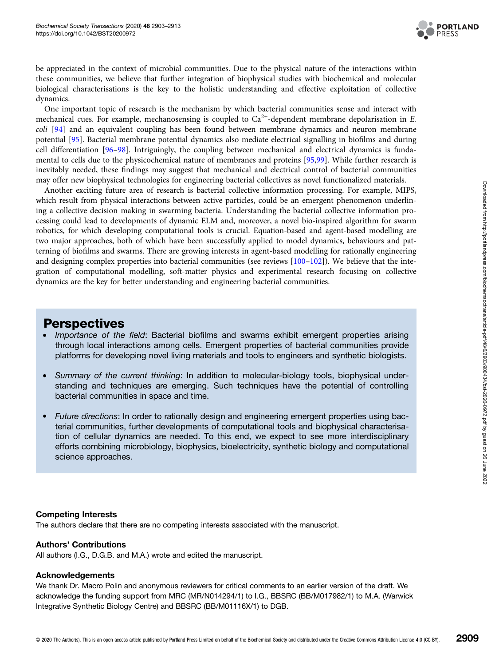

be appreciated in the context of microbial communities. Due to the physical nature of the interactions within these communities, we believe that further integration of biophysical studies with biochemical and molecular biological characterisations is the key to the holistic understanding and effective exploitation of collective dynamics.

One important topic of research is the mechanism by which bacterial communities sense and interact with mechanical cues. For example, mechanosensing is coupled to  $Ca^{2+}$ -dependent membrane depolarisation in E. coli [[94](#page-9-0)] and an equivalent coupling has been found between membrane dynamics and neuron membrane potential [[95](#page-9-0)]. Bacterial membrane potential dynamics also mediate electrical signalling in biofilms and during cell differentiation [[96](#page-10-0)–[98\]](#page-10-0). Intriguingly, the coupling between mechanical and electrical dynamics is fundamental to cells due to the physicochemical nature of membranes and proteins [[95,](#page-9-0)[99](#page-10-0)]. While further research is inevitably needed, these findings may suggest that mechanical and electrical control of bacterial communities may offer new biophysical technologies for engineering bacterial collectives as novel functionalized materials.

Another exciting future area of research is bacterial collective information processing. For example, MIPS, which result from physical interactions between active particles, could be an emergent phenomenon underlining a collective decision making in swarming bacteria. Understanding the bacterial collective information processing could lead to developments of dynamic ELM and, moreover, a novel bio-inspired algorithm for swarm robotics, for which developing computational tools is crucial. Equation-based and agent-based modelling are two major approaches, both of which have been successfully applied to model dynamics, behaviours and patterning of biofilms and swarms. There are growing interests in agent-based modelling for rationally engineering and designing complex properties into bacterial communities (see reviews  $[100-102]$  $[100-102]$  $[100-102]$  $[100-102]$ ). We believe that the integration of computational modelling, soft-matter physics and experimental research focusing on collective dynamics are the key for better understanding and engineering bacterial communities.

### Perspectives

- Importance of the field: Bacterial biofilms and swarms exhibit emergent properties arising through local interactions among cells. Emergent properties of bacterial communities provide platforms for developing novel living materials and tools to engineers and synthetic biologists.
- Summary of the current thinking: In addition to molecular-biology tools, biophysical understanding and techniques are emerging. Such techniques have the potential of controlling bacterial communities in space and time.
- Future directions: In order to rationally design and engineering emergent properties using bacterial communities, further developments of computational tools and biophysical characterisation of cellular dynamics are needed. To this end, we expect to see more interdisciplinary efforts combining microbiology, biophysics, bioelectricity, synthetic biology and computational science approaches.

#### Competing Interests

The authors declare that there are no competing interests associated with the manuscript.

#### Authors' Contributions

All authors (I.G., D.G.B. and M.A.) wrote and edited the manuscript.

#### Acknowledgements

We thank Dr. Macro Polin and anonymous reviewers for critical comments to an earlier version of the draft. We acknowledge the funding support from MRC (MR/N014294/1) to I.G., BBSRC (BB/M017982/1) to M.A. (Warwick Integrative Synthetic Biology Centre) and BBSRC (BB/M01116X/1) to DGB.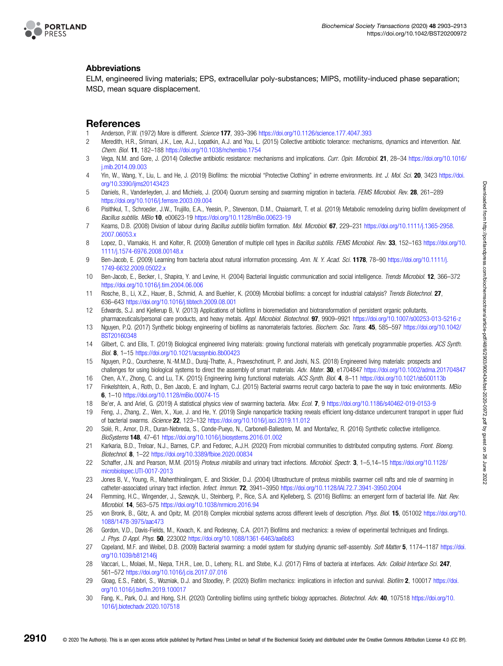<span id="page-7-0"></span>

#### Abbreviations

ELM, engineered living materials; EPS, extracellular poly-substances; MIPS, motility-induced phase separation; MSD, mean square displacement.

#### References

- Anderson, P.W. (1972) More is different. Science 177, 393-396 <https://doi.org/10.1126/science.177.4047.393>
- 2 Meredith, H.R., Srimani, J.K., Lee, A.J., Lopatkin, A.J. and You, L. (2015) Collective antibiotic tolerance: mechanisms, dynamics and intervention. Nat. Chem. Biol. 11, 182–188 <https://doi.org/10.1038/nchembio.1754>
- 3 Vega, N.M. and Gore, J. (2014) Collective antibiotic resistance: mechanisms and implications. Curr. Opin. Microbiol. 21, 28–34 [https://doi.org/10.1016/](https://doi.org/10.1016/j.mib.2014.09.003) [j.mib.2014.09.003](https://doi.org/10.1016/j.mib.2014.09.003)
- 4 Yin, W., Wang, Y., Liu, L. and He, J. (2019) Biofilms: the microbial "Protective Clothing" in extreme environments. Int. J. Mol. Sci. 20, 3423 [https://doi.](https://doi.org/10.3390/ijms20143423) [org/10.3390/ijms20143423](https://doi.org/10.3390/ijms20143423)
- 5 Daniels, R., Vanderleyden, J. and Michiels, J. (2004) Quorum sensing and swarming migration in bacteria. FEMS Microbiol. Rev. 28, 261-289 <https://doi.org/10.1016/j.femsre.2003.09.004>
- 6 Pisithkul, T., Schroeder, J.W., Trujillo, E.A., Yeesin, P., Stevenson, D.M., Chaiamarit, T. et al. (2019) Metabolic remodeling during biofilm development of Bacillus subtilis. MBio 10, e00623-19 <https://doi.org/10.1128/mBio.00623-19>
- 7 Kearns, D.B. (2008) Division of labour during Bacillus subtilis biofilm formation. Mol. Microbiol. 67, 229–231 [https://doi.org/10.1111/j.1365-2958.](https://doi.org/10.1111/j.1365-2958.2007.06053.x) [2007.06053.x](https://doi.org/10.1111/j.1365-2958.2007.06053.x)
- 8 Lopez, D., Vlamakis, H. and Kolter, R. (2009) Generation of multiple cell types in Bacillus subtilis. FEMS Microbiol. Rev. 33, 152–163 [https://doi.org/10.](https://doi.org/10.1111/j.1574-6976.2008.00148.x) [1111/j.1574-6976.2008.00148.x](https://doi.org/10.1111/j.1574-6976.2008.00148.x)
- 9 Ben-Jacob, E. (2009) Learning from bacteria about natural information processing. Ann. N. Y. Acad. Sci. 1178, 78-90 [https://doi.org/10.1111/j.](https://doi.org/10.1111/j.1749-6632.2009.05022.x) [1749-6632.2009.05022.x](https://doi.org/10.1111/j.1749-6632.2009.05022.x)
- 10 Ben-Jacob, E., Becker, I., Shapira, Y. and Levine, H. (2004) Bacterial linguistic communication and social intelligence. Trends Microbiol. 12, 366–372 <https://doi.org/10.1016/j.tim.2004.06.006>
- 11 Rosche, B., Li, X.Z., Hauer, B., Schmid, A. and Buehler, K. (2009) Microbial biofilms: a concept for industrial catalysis? Trends Biotechnol. 27, 636–643 <https://doi.org/10.1016/j.tibtech.2009.08.001>
- 12 Edwards, S.J. and Kjellerup B, V. (2013) Applications of biofilms in bioremediation and biotransformation of persistent organic pollutants, pharmaceuticals/personal care products, and heavy metals. Appl. Microbiol. Biotechnol. 97, 9909–9921 <https://doi.org/10.1007/s00253-013-5216-z>
- 13 Nguyen, P.Q. (2017) Synthetic biology engineering of biofilms as nanomaterials factories. Biochem. Soc. Trans. 45, 585–597 [https://doi.org/10.1042/](https://doi.org/10.1042/BST20160348) [BST20160348](https://doi.org/10.1042/BST20160348)
- 14 Gilbert, C. and Ellis, T. (2019) Biological engineered living materials: growing functional materials with genetically programmable properties. ACS Synth. Biol. 8, 1–15 <https://doi.org/10.1021/acssynbio.8b00423>
- 15 Nguyen, P.Q., Courchesne, N.-M.M.D., Duraj-Thatte, A., Praveschotinunt, P. and Joshi, N.S. (2018) Engineered living materials: prospects and challenges for using biological systems to direct the assembly of smart materials. Adv. Mater. 30, e1704847 <https://doi.org/10.1002/adma.201704847>
- 16 Chen, A.Y., Zhong, C. and Lu, T.K. (2015) Engineering living functional materials. ACS Synth. Biol. 4, 8-11 <https://doi.org/10.1021/sb500113b>
- 17 Finkelshtein, A., Roth, D., Ben Jacob, E. and Ingham, C.J. (2015) Bacterial swarms recruit cargo bacteria to pave the way in toxic environments. MBio 6, 1–10 <https://doi.org/10.1128/mBio.00074-15>
- 18 Be'er, A. and Ariel, G. (2019) A statistical physics view of swarming bacteria. Mov. Ecol. 7, 9 <https://doi.org/10.1186/s40462-019-0153-9>
- 19 Feng, J., Zhang, Z., Wen, X., Xue, J. and He, Y. (2019) Single nanoparticle tracking reveals efficient long-distance undercurrent transport in upper fluid of bacterial swarms. iScience 22, 123–132 <https://doi.org/10.1016/j.isci.2019.11.012>
- 20 Solé, R., Amor, D.R., Duran-Nebreda, S., Conde-Pueyo, N., Carbonell-Ballestero, M. and Montañez, R. (2016) Synthetic collective intelligence. BioSystems 148, 47–61 <https://doi.org/10.1016/j.biosystems.2016.01.002>
- 21 Karkaria, B.D., Treloar, N.J., Barnes, C.P. and Fedorec, A.J.H. (2020) From microbial communities to distributed computing systems. Front. Bioeng. Biotechnol. 8, 1–22 <https://doi.org/10.3389/fbioe.2020.00834>
- 22 Schaffer, J.N. and Pearson, M.M. (2015) Proteus mirabilis and urinary tract infections. Microbiol. Spectr. 3, 1-5,14-15 [https://doi.org/10.1128/](https://doi.org/10.1128/microbiolspec.UTI-0017-2013) [microbiolspec.UTI-0017-2013](https://doi.org/10.1128/microbiolspec.UTI-0017-2013)
- 23 Jones B, V., Young, R., Mahenthiralingam, E. and Stickler, D.J. (2004) Ultrastructure of proteus mirabilis swarmer cell rafts and role of swarming in catheter-associated urinary tract infection. Infect. Immun. 72, 3941-3950 <https://doi.org/10.1128/IAI.72.7.3941-3950.2004>
- 24 Flemming, H.C., Wingender, J., Szewzyk, U., Steinberg, P., Rice, S.A. and Kjelleberg, S. (2016) Biofilms: an emergent form of bacterial life. Nat. Rev. Microbiol. 14, 563–575 <https://doi.org/10.1038/nrmicro.2016.94>
- 25 von Bronk, B., Götz, A. and Opitz, M. (2018) Complex microbial systems across different levels of description. Phys. Biol. 15, 051002 [https://doi.org/10.](https://doi.org/10.1088/1478-3975/aac473) [1088/1478-3975/aac473](https://doi.org/10.1088/1478-3975/aac473)
- 26 Gordon, V.D., Davis-Fields, M., Kovach, K. and Rodesney, C.A. (2017) Biofilms and mechanics: a review of experimental techniques and findings. J. Phys. D Appl. Phys. 50, 223002 <https://doi.org/10.1088/1361-6463/aa6b83>
- 27 Copeland, M.F. and Weibel, D.B. (2009) Bacterial swarming: a model system for studying dynamic self-assembly. Soft Matter 5, 1174–1187 [https://doi.](https://doi.org/10.1039/b812146j) [org/10.1039/b812146j](https://doi.org/10.1039/b812146j)
- 28 Vaccari, L., Molaei, M., Niepa, T.H.R., Lee, D., Leheny, R.L. and Stebe, K.J. (2017) Films of bacteria at interfaces. Adv. Colloid Interface Sci. 247, 561–572 <https://doi.org/10.1016/j.cis.2017.07.016>
- 29 Gloag, E.S., Fabbri, S., Wozniak, D.J. and Stoodley, P. (2020) Biofilm mechanics: implications in infection and survival. Biofilm 2, 100017 [https://doi.](https://doi.org/10.1016/j.bioflm.2019.100017) [org/10.1016/j.bio](https://doi.org/10.1016/j.bioflm.2019.100017)flm.2019.100017
- 30 Fang, K., Park, O.J. and Hong, S.H. (2020) Controlling biofilms using synthetic biology approaches. Biotechnol. Adv. 40, 107518 [https://doi.org/10.](https://doi.org/10.1016/j.biotechadv.2020.107518) [1016/j.biotechadv.2020.107518](https://doi.org/10.1016/j.biotechadv.2020.107518)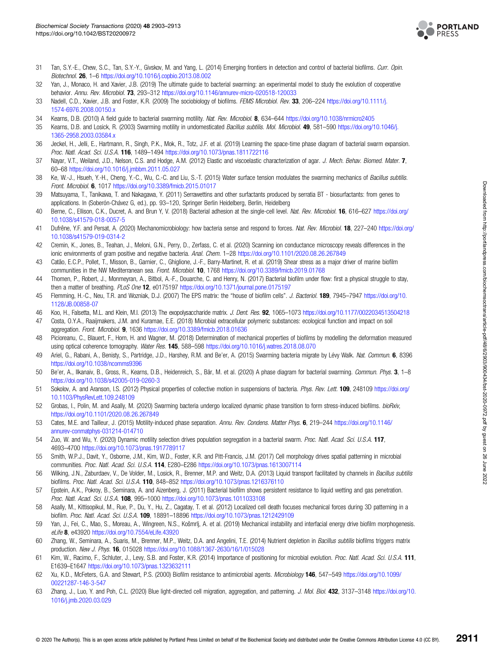

- <span id="page-8-0"></span>31 Tan, S.Y.-E., Chew, S.C., Tan, S.Y.-Y., Givskov, M. and Yang, L. (2014) Emerging frontiers in detection and control of bacterial biofilms. Curr. Opin. Biotechnol. 26, 1–6 <https://doi.org/10.1016/j.copbio.2013.08.002>
- 32 Yan, J., Monaco, H. and Xavier, J.B. (2019) The ultimate guide to bacterial swarming: an experimental model to study the evolution of cooperative behavior. Annu. Rev. Microbiol. 73, 293–312 <https://doi.org/10.1146/annurev-micro-020518-120033>
- 33 Nadell, C.D., Xavier, J.B. and Foster, K.R. (2009) The sociobiology of biofilms. FEMS Microbiol. Rev. 33, 206-224 [https://doi.org/10.1111/j.](https://doi.org/10.1111/j.1574-6976.2008.00150.x) [1574-6976.2008.00150.x](https://doi.org/10.1111/j.1574-6976.2008.00150.x)
- 34 Kearns, D.B. (2010) A field guide to bacterial swarming motility. Nat. Rev. Microbiol. 8, 634–644 <https://doi.org/10.1038/nrmicro2405>
- 35 Kearns, D.B. and Losick, R. (2003) Swarming motility in undomesticated Bacillus subtilis. Mol. Microbiol. 49, 581–590 [https://doi.org/10.1046/j.](https://doi.org/10.1046/j.1365-2958.2003.03584.x) [1365-2958.2003.03584.x](https://doi.org/10.1046/j.1365-2958.2003.03584.x)
- 36 Jeckel, H., Jelli, E., Hartmann, R., Singh, P.K., Mok, R., Totz, J.F. et al. (2019) Learning the space-time phase diagram of bacterial swarm expansion. Proc. Natl. Acad. Sci. U.S.A. 116, 1489–1494 <https://doi.org/10.1073/pnas.1811722116>
- 37 Nayar, V.T., Weiland, J.D., Nelson, C.S. and Hodge, A.M. (2012) Elastic and viscoelastic characterization of agar. J. Mech. Behav. Biomed. Mater. 7, 60–68 <https://doi.org/10.1016/j.jmbbm.2011.05.027>
- 38 Ke, W.-J., Hsueh, Y.-H., Cheng, Y.-C., Wu, C.-C. and Liu, S.-T. (2015) Water surface tension modulates the swarming mechanics of Bacillus subtilis. Front. Microbiol. 6, 1017 <https://doi.org/10.3389/fmicb.2015.01017>
- 39 Matsuyama, T., Tanikawa, T. and Nakagawa, Y. (2011) Serrawettins and other surfactants produced by serratia BT biosurfactants: from genes to applications. In (Soberón-Chávez G, ed.), pp. 93–120, Springer Berlin Heidelberg, Berlin, Heidelberg
- 40 Berne, C., Ellison, C.K., Ducret, A. and Brun Y, V. (2018) Bacterial adhesion at the single-cell level. Nat. Rev. Microbiol. 16, 616–627 [https://doi.org/](https://doi.org/10.1038/s41579-018-0057-5) [10.1038/s41579-018-0057-5](https://doi.org/10.1038/s41579-018-0057-5)
- 41 Dufrêne, Y.F. and Persat, A. (2020) Mechanomicrobiology: how bacteria sense and respond to forces. Nat. Rev. Microbiol. 18, 227-240 [https://doi.org/](https://doi.org/10.1038/s41579-019-0314-2) [10.1038/s41579-019-0314-2](https://doi.org/10.1038/s41579-019-0314-2)
- 42 Cremin, K., Jones, B., Teahan, J., Meloni, G.N., Perry, D., Zerfass, C. et al. (2020) Scanning ion conductance microscopy reveals differences in the ionic environments of gram positive and negative bacteria. Anal. Chem. 1–28 <https://doi.org/10.1101/2020.08.26.267849>
- 43 Catão, E.C.P., Pollet, T., Misson, B., Garnier, C., Ghiglione, J.-F., Barry-Martinet, R. et al. (2019) Shear stress as a major driver of marine biofilm communities in the NW Mediterranean sea. Front. Microbiol. 10, 1768 <https://doi.org/10.3389/fmicb.2019.01768>
- 44 Thomen, P., Robert, J., Monmeyran, A., Bitbol, A.-F., Douarche, C. and Henry, N. (2017) Bacterial biofilm under flow: first a physical struggle to stay, then a matter of breathing. PLoS One 12, e0175197 <https://doi.org/10.1371/journal.pone.0175197>
- 45 Flemming, H.-C., Neu, T.R. and Wozniak, D.J. (2007) The EPS matrix: the "house of biofilm cells". J. Bacteriol. 189, 7945-7947 [https://doi.org/10.](https://doi.org/10.1128/JB.00858-07) [1128/JB.00858-07](https://doi.org/10.1128/JB.00858-07)
- 46 Koo, H., Falsetta, M.L. and Klein, M.I. (2013) The exopolysaccharide matrix. J. Dent. Res. 92, 1065–1073 <https://doi.org/10.1177/0022034513504218>
- 47 Costa, O.Y.A., Raaijmakers, J.M. and Kuramae, E.E. (2018) Microbial extracellular polymeric substances: ecological function and impact on soil aggregation. Front. Microbiol. 9, 1636 <https://doi.org/10.3389/fmicb.2018.01636>
- 48 Picioreanu, C., Blauert, F., Horn, H. and Wagner, M. (2018) Determination of mechanical properties of biofilms by modelling the deformation measured using optical coherence tomography. Water Res. 145, 588-598 <https://doi.org/10.1016/j.watres.2018.08.070>
- 49 Ariel, G., Rabani, A., Benisty, S., Partridge, J.D., Harshey, R.M. and Be'er, A. (2015) Swarming bacteria migrate by Lévy Walk. Nat. Commun. 6, 8396 <https://doi.org/10.1038/ncomms9396>
- 50 Be'er, A., Ilkanaiv, B., Gross, R., Kearns, D.B., Heidenreich, S., Bär, M. et al. (2020) A phase diagram for bacterial swarming. Commun. Phys. 3, 1–8 <https://doi.org/10.1038/s42005-019-0260-3>
- 51 Sokolov, A. and Aranson, I.S. (2012) Physical properties of collective motion in suspensions of bacteria. Phys. Rev. Lett. 109, 248109 [https://doi.org/](https://doi.org/10.1103/PhysRevLett.109.248109) [10.1103/PhysRevLett.109.248109](https://doi.org/10.1103/PhysRevLett.109.248109)
- 52 Grobas, I., Polin, M. and Asally, M. (2020) Swarming bacteria undergo localized dynamic phase transition to form stress-induced biofilms. bioRxiv, <https://doi.org/10.1101/2020.08.26.267849>
- 53 Cates, M.E. and Tailleur, J. (2015) Motility-induced phase separation. Annu. Rev. Condens. Matter Phys. 6, 219-244 [https://doi.org/10.1146/](https://doi.org/10.1146/annurev-conmatphys-031214-014710) [annurev-conmatphys-031214-014710](https://doi.org/10.1146/annurev-conmatphys-031214-014710)
- 54 Zuo, W. and Wu, Y. (2020) Dynamic motility selection drives population segregation in a bacterial swarm. Proc. Natl. Acad. Sci. U.S.A. 117, 4693–4700 <https://doi.org/10.1073/pnas.1917789117>
- 55 Smith, W.P.J., Davit, Y., Osborne, J.M., Kim, W.D., Foster, K.R. and Pitt-Francis, J.M. (2017) Cell morphology drives spatial patterning in microbial communities. Proc. Natl. Acad. Sci. U.S.A. 114, E280–E286 <https://doi.org/10.1073/pnas.1613007114>
- 56 Wilking, J.N., Zaburdaev, V., De Volder, M., Losick, R., Brenner, M.P. and Weitz, D.A. (2013) Liquid transport facilitated by channels in Bacillus subtilis biofilms. Proc. Natl. Acad. Sci. U.S.A. 110, 848–852 <https://doi.org/10.1073/pnas.1216376110>
- 57 Epstein, A.K., Pokroy, B., Seminara, A. and Aizenberg, J. (2011) Bacterial biofilm shows persistent resistance to liquid wetting and gas penetration. Proc. Natl. Acad. Sci. U.S.A. 108, 995-1000 <https://doi.org/10.1073/pnas.1011033108>
- 58 Asally, M., Kittisopikul, M., Rue, P., Du, Y., Hu, Z., Cagatay, T. et al. (2012) Localized cell death focuses mechanical forces during 3D patterning in a biofilm. Proc. Natl. Acad. Sci. U.S.A. 109, 18891–18896 <https://doi.org/10.1073/pnas.1212429109>
- 59 Yan, J., Fei, C., Mao, S., Moreau, A., Wingreen, N.S., Košmrlj, A. et al. (2019) Mechanical instability and interfacial energy drive biofilm morphogenesis. eLife 8, e43920 <https://doi.org/10.7554/eLife.43920>
- 60 Zhang, W., Seminara, A., Suaris, M., Brenner, M.P., Weitz, D.A. and Angelini, T.E. (2014) Nutrient depletion in Bacillus subtilis biofilms triggers matrix production. New J. Phys. 16, 015028 <https://doi.org/10.1088/1367-2630/16/1/015028>
- 61 Kim, W., Racimo, F., Schluter, J., Levy, S.B. and Foster, K.R. (2014) Importance of positioning for microbial evolution. Proc. Natl. Acad. Sci. U.S.A. 111, E1639–E1647 <https://doi.org/10.1073/pnas.1323632111>
- 62 Xu, K.D., McFeters, G.A. and Stewart, P.S. (2000) Biofilm resistance to antimicrobial agents. Microbiology 146, 547–549 [https://doi.org/10.1099/](https://doi.org/10.1099/00221287-146-3-547) [00221287-146-3-547](https://doi.org/10.1099/00221287-146-3-547)
- 63 Zhang, J., Luo, Y. and Poh, C.L. (2020) Blue light-directed cell migration, aggregation, and patterning. J. Mol. Biol. 432, 3137-3148 [https://doi.org/10.](https://doi.org/10.1016/j.jmb.2020.03.029) [1016/j.jmb.2020.03.029](https://doi.org/10.1016/j.jmb.2020.03.029)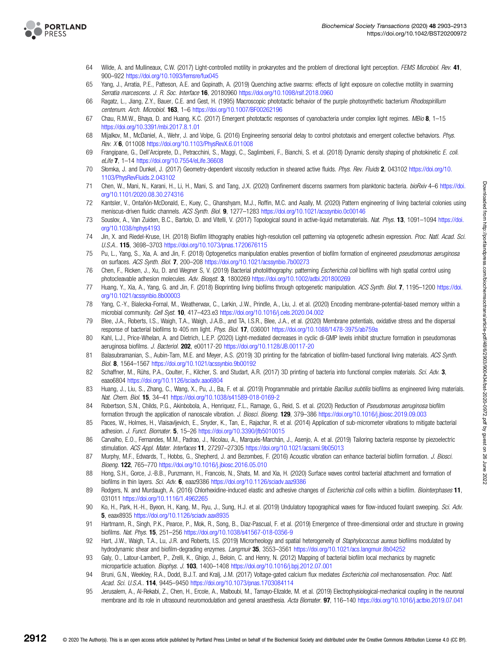<span id="page-9-0"></span>

- 64 Wilde, A. and Mullineaux, C.W. (2017) Light-controlled motility in prokaryotes and the problem of directional light perception. FEMS Microbiol. Rev. 41, 900–922 <https://doi.org/10.1093/femsre/fux045>
- 65 Yang, J., Arratia, P.E., Patteson, A.E. and Gopinath, A. (2019) Quenching active swarms: effects of light exposure on collective motility in swarming Serratia marcescens. J. R. Soc. Interface 16, 20180960 <https://doi.org/10.1098/rsif.2018.0960>
- 66 Ragatz, L., Jiang, Z.Y., Bauer, C.E. and Gest, H. (1995) Macroscopic phototactic behavior of the purple photosynthetic bacterium Rhodospirillum centenum. Arch. Microbiol. 163, 1–6 <https://doi.org/10.1007/BF00262196>
- 67 Chau, R.M.W., Bhaya, D. and Huang, K.C. (2017) Emergent phototactic responses of cyanobacteria under complex light regimes. MBio 8, 1-15 <https://doi.org/10.3391/mbi.2017.8.1.01>
- 68 Mijalkov, M., McDaniel, A., Wehr, J. and Volpe, G. (2016) Engineering sensorial delay to control phototaxis and emergent collective behaviors. Phys. Rev. X 6, 011008 <https://doi.org/10.1103/PhysRevX.6.011008>
- 69 Frangipane, G., Dell'Arciprete, D., Petracchini, S., Maggi, C., Saglimbeni, F., Bianchi, S. et al. (2018) Dynamic density shaping of photokinetic E. coli. eLife 7, 1–14 <https://doi.org/10.7554/eLife.36608>
- 70 Słomka, J. and Dunkel, J. (2017) Geometry-dependent viscosity reduction in sheared active fluids. Phys. Rev. Fluids 2, 043102 [https://doi.org/10.](https://doi.org/10.1103/PhysRevFluids.2.043102) [1103/PhysRevFluids.2.043102](https://doi.org/10.1103/PhysRevFluids.2.043102)
- 71 Chen, W., Mani, N., Karani, H., Li, H., Mani, S. and Tang, J.X. (2020) Confinement discerns swarmers from planktonic bacteria. bioRxiv 4–6 [https://doi.](https://doi.org/10.1101/2020.08.30.274316) [org/10.1101/2020.08.30.274316](https://doi.org/10.1101/2020.08.30.274316)
- 72 Kantsler, V., Ontañón-McDonald, E., Kuey, C., Ghanshyam, M.J., Roffin, M.C. and Asally, M. (2020) Pattern engineering of living bacterial colonies using meniscus-driven fluidic channels. ACS Synth. Biol. 9, 1277-1283 <https://doi.org/10.1021/acssynbio.0c00146>
- 73 Souslov, A., Van Zuiden, B.C., Bartolo, D. and Vitelli, V. (2017) Topological sound in active-liquid metamaterials. Nat. Phys. 13, 1091-1094 [https://doi.](https://doi.org/10.1038/nphys4193) [org/10.1038/nphys4193](https://doi.org/10.1038/nphys4193)
- 74 Jin, X. and Riedel-Kruse, I.H. (2018) Biofilm lithography enables high-resolution cell patterning via optogenetic adhesin expression. Proc. Natl. Acad. Sci. U.S.A.. 115, 3698–3703 <https://doi.org/10.1073/pnas.1720676115>
- 75 Pu, L., Yang, S., Xia, A. and Jin, F. (2018) Optogenetics manipulation enables prevention of biofilm formation of engineered pseudomonas aeruginosa on surfaces. ACS Synth. Biol. 7, 200–208 <https://doi.org/10.1021/acssynbio.7b00273>
- Chen, F., Ricken, J., Xu, D. and Wegner S, V. (2019) Bacterial photolithography: patterning Escherichia coli biofilms with high spatial control using photocleavable adhesion molecules. Adv. Biosyst. 3, 1800269 <https://doi.org/10.1002/adbi.201800269>
- 77 Huang, Y., Xia, A., Yang, G. and Jin, F. (2018) Bioprinting living biofilms through optogenetic manipulation. ACS Synth. Biol. 7, 1195–1200 [https://doi.](https://doi.org/10.1021/acssynbio.8b00003) [org/10.1021/acssynbio.8b00003](https://doi.org/10.1021/acssynbio.8b00003)
- 78 Yang, C.-Y., Bialecka-Fornal, M., Weatherwax, C., Larkin, J.W., Prindle, A., Liu, J. et al. (2020) Encoding membrane-potential-based memory within a microbial community. Cell Syst. 10, 417–423.e3 <https://doi.org/10.1016/j.cels.2020.04.002>
- 79 Blee, J.A., Roberts, I.S., Waigh, T.A., Waigh, J.A.B., and TA, I.S.R., Blee, J.A., et al. (2020) Membrane potentials, oxidative stress and the dispersal response of bacterial biofilms to 405 nm light. Phys. Biol. 17, 036001 <https://doi.org/10.1088/1478-3975/ab759a>
- 80 Kahl, L.J., Price-Whelan, A. and Dietrich, L.E.P. (2020) Light-mediated decreases in cyclic di-GMP levels inhibit structure formation in pseudomonas aeruginosa biofilms. J. Bacteriol. 202, e00117-20 <https://doi.org/10.1128/JB.00117-20>
- 81 Balasubramanian, S., Aubin-Tam, M.E. and Meyer, A.S. (2019) 3D printing for the fabrication of biofilm-based functional living materials. ACS Synth. Biol. 8, 1564–1567 <https://doi.org/10.1021/acssynbio.9b00192>
- 82 Schaffner, M., Rühs, P.A., Coulter, F., Kilcher, S. and Studart, A.R. (2017) 3D printing of bacteria into functional complex materials. Sci. Adv. 3, eaao6804 <https://doi.org/10.1126/sciadv.aao6804>
- 83 Huang, J., Liu, S., Zhang, C., Wang, X., Pu, J., Ba, F. et al. (2019) Programmable and printable Bacillus subtilis biofilms as engineered living materials. Nat. Chem. Biol. 15, 34–41 <https://doi.org/10.1038/s41589-018-0169-2>
- 84 Robertson, S.N., Childs, P.G., Akinbobola, A., Henriquez, F.L., Ramage, G., Reid, S. et al. (2020) Reduction of Pseudomonas aeruginosa biofilm formation through the application of nanoscale vibration. J. Biosci. Bioeng. 129, 379–386 <https://doi.org/10.1016/j.jbiosc.2019.09.003>
- 85 Paces, W., Holmes, H., Vlaisavljevich, E., Snyder, K., Tan, E., Rajachar, R. et al. (2014) Application of sub-micrometer vibrations to mitigate bacterial adhesion. J. Funct. Biomater. 5, 15–26 <https://doi.org/10.3390/jfb5010015>
- 86 Carvalho, E.O., Fernandes, M.M., Padrao, J., Nicolau, A., Marqués-Marchán, J., Asenjo, A. et al. (2019) Tailoring bacteria response by piezoelectric stimulation. ACS Appl. Mater. Interfaces 11, 27297–27305 <https://doi.org/10.1021/acsami.9b05013>
- 87 Murphy, M.F., Edwards, T., Hobbs, G., Shepherd, J. and Bezombes, F. (2016) Acoustic vibration can enhance bacterial biofilm formation. J. Biosci. Bioeng. 122, 765–770 <https://doi.org/10.1016/j.jbiosc.2016.05.010>
- 88 Hong, S.H., Gorce, J.-B.B., Punzmann, H., Francois, N., Shats, M. and Xia, H. (2020) Surface waves control bacterial attachment and formation of biofilms in thin layers. Sci. Adv. 6, eaaz9386 <https://doi.org/10.1126/sciadv.aaz9386>
- 89 Rodgers, N. and Murdaugh, A. (2016) Chlorhexidine-induced elastic and adhesive changes of Escherichia coli cells within a biofilm. Biointerphases 11, 031011 <https://doi.org/10.1116/1.4962265>
- 90 Ko, H., Park, H.-H., Byeon, H., Kang, M., Ryu, J., Sung, H.J. et al. (2019) Undulatory topographical waves for flow-induced foulant sweeping. Sci. Adv. 5, eaax8935 <https://doi.org/10.1126/sciadv.aax8935>
- 91 Hartmann, R., Singh, P.K., Pearce, P., Mok, R., Song, B., Diaz-Pascual, F. et al. (2019) Emergence of three-dimensional order and structure in growing biofilms. Nat. Phys. 15, 251–256 <https://doi.org/10.1038/s41567-018-0356-9>
- 92 Hart, J.W., Waigh, T.A., Lu, J.R. and Roberts, I.S. (2019) Microrheology and spatial heterogeneity of Staphylococcus aureus biofilms modulated by hydrodynamic shear and biofilm-degrading enzymes. Langmuir 35, 3553-3561 <https://doi.org/10.1021/acs.langmuir.8b04252>
- 93 Galy, O., Latour-Lambert, P., Zrelli, K., Ghigo, J., Beloin, C. and Henry, N. (2012) Mapping of bacterial biofilm local mechanics by magnetic microparticle actuation. Biophys. J. 103, 1400–1408 <https://doi.org/10.1016/j.bpj.2012.07.001>
- 94 Bruni, G.N., Weekley, R.A., Dodd, B.J.T. and Kralj, J.M. (2017) Voltage-gated calcium flux mediates Escherichia coli mechanosensation. Proc. Natl. Acad. Sci. U.S.A.. 114, 9445–9450 <https://doi.org/10.1073/pnas.1703084114>
- 95 Jerusalem, A., Al-Rekabi, Z., Chen, H., Ercole, A., Malboubi, M., Tamayo-Elizalde, M. et al. (2019) Electrophysiological-mechanical coupling in the neuronal membrane and its role in ultrasound neuromodulation and general anaesthesia. Acta Biomater. 97, 116–140 <https://doi.org/10.1016/j.actbio.2019.07.041>